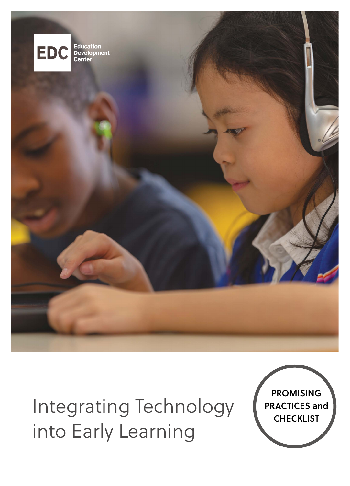

# Integrating Technology into Early Learning

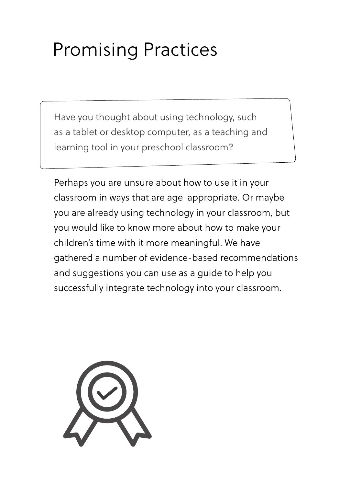## Promising Practices

Have you thought about using technology, such as a tablet or desktop computer, as a teaching and learning tool in your preschool classroom?

Perhaps you are unsure about how to use it in your classroom in ways that are age-appropriate. Or maybe you are already using technology in your classroom, but you would like to know more about how to make your children's time with it more meaningful. We have gathered a number of evidence-based recommendations and suggestions you can use as a guide to help you successfully integrate technology into your classroom.

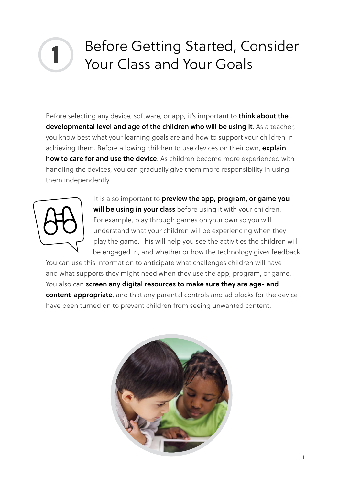### Before Getting Started, Consider Your Class and Your Goals **1**

Before selecting any device, software, or app, it's important to **think about the developmental level and age of the children who will be using it**. As a teacher, you know best what your learning goals are and how to support your children in achieving them. Before allowing children to use devices on their own, **explain how to care for and use the device**. As children become more experienced with handling the devices, you can gradually give them more responsibility in using them independently.



It is also important to **preview the app, program, or game you will be using in your class** before using it with your children. For example, play through games on your own so you will understand what your children will be experiencing when they play the game. This will help you see the activities the children will be engaged in, and whether or how the technology gives feedback.

You can use this information to anticipate what challenges children will have and what supports they might need when they use the app, program, or game. You also can **screen any digital resources to make sure they are age- and content-appropriate**, and that any parental controls and ad blocks for the device have been turned on to prevent children from seeing unwanted content.

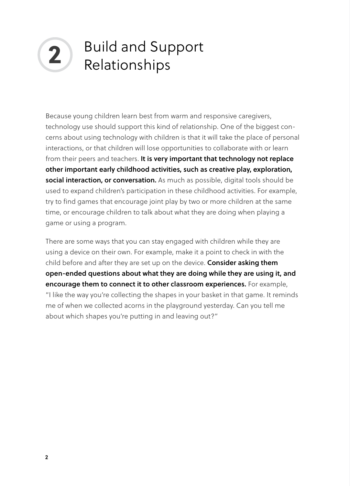# **2** Build and Support Relationships

Because young children learn best from warm and responsive caregivers, technology use should support this kind of relationship. One of the biggest concerns about using technology with children is that it will take the place of personal interactions, or that children will lose opportunities to collaborate with or learn from their peers and teachers. **It is very important that technology not replace other important early childhood activities, such as creative play, exploration, social interaction, or conversation.** As much as possible, digital tools should be used to expand children's participation in these childhood activities. For example, try to find games that encourage joint play by two or more children at the same time, or encourage children to talk about what they are doing when playing a game or using a program.

There are some ways that you can stay engaged with children while they are using a device on their own. For example, make it a point to check in with the child before and after they are set up on the device. **Consider asking them open-ended questions about what they are doing while they are using it, and encourage them to connect it to other classroom experiences.** For example, "I like the way you're collecting the shapes in your basket in that game. It reminds me of when we collected acorns in the playground yesterday. Can you tell me about which shapes you're putting in and leaving out?"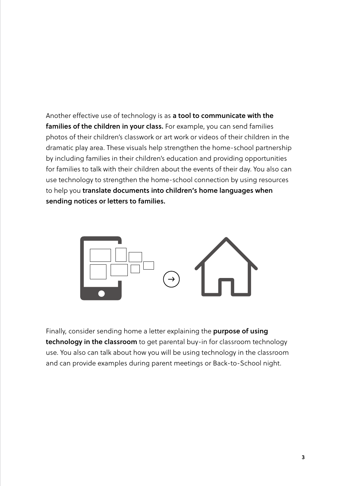Another effective use of technology is as **a tool to communicate with the families of the children in your class.** For example, you can send families photos of their children's classwork or art work or videos of their children in the dramatic play area. These visuals help strengthen the home-school partnership by including families in their children's education and providing opportunities for families to talk with their children about the events of their day. You also can use technology to strengthen the home-school connection by using resources to help you **translate documents into children's home languages when sending notices or letters to families.** 



Finally, consider sending home a letter explaining the **purpose of using technology in the classroom** to get parental buy-in for classroom technology use. You also can talk about how you will be using technology in the classroom and can provide examples during parent meetings or Back-to-School night.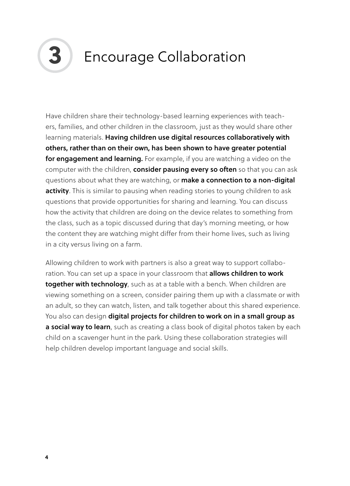

#### **3** Encourage Collaboration

Have children share their technology-based learning experiences with teachers, families, and other children in the classroom, just as they would share other learning materials. **Having children use digital resources collaboratively with others, rather than on their own, has been shown to have greater potential for engagement and learning.** For example, if you are watching a video on the computer with the children, **consider pausing every so often** so that you can ask questions about what they are watching, or **make a connection to a non-digital activity**. This is similar to pausing when reading stories to young children to ask questions that provide opportunities for sharing and learning. You can discuss how the activity that children are doing on the device relates to something from the class, such as a topic discussed during that day's morning meeting, or how the content they are watching might differ from their home lives, such as living in a city versus living on a farm.

Allowing children to work with partners is also a great way to support collaboration. You can set up a space in your classroom that **allows children to work together with technology**, such as at a table with a bench. When children are viewing something on a screen, consider pairing them up with a classmate or with an adult, so they can watch, listen, and talk together about this shared experience. You also can design **digital projects for children to work on in a small group as a social way to learn**, such as creating a class book of digital photos taken by each child on a scavenger hunt in the park. Using these collaboration strategies will help children develop important language and social skills.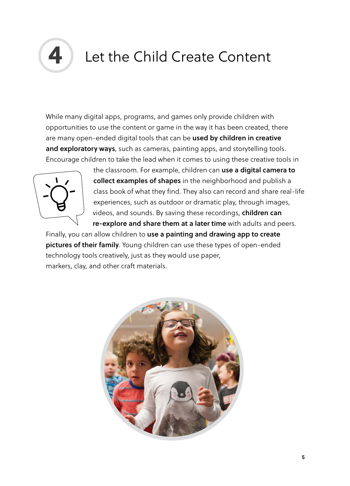

#### Let the Child Create Content

While many digital apps, programs, and games only provide children with opportunities to use the content or game in the way it has been created, there are many open-ended digital tools that can be **used by children in creative and exploratory ways**, such as cameras, painting apps, and storytelling tools. Encourage children to take the lead when it comes to using these creative tools in



the classroom. For example, children can **use a digital camera to collect examples of shapes** in the neighborhood and publish a class book of what they find. They also can record and share real-life experiences, such as outdoor or dramatic play, through images, videos, and sounds. By saving these recordings, **children can re-explore and share them at a later time** with adults and peers.

Finally, you can allow children to **use a painting and drawing app to create pictures of their family**. Young children can use these types of open-ended technology tools creatively, just as they would use paper, markers, clay, and other craft materials.

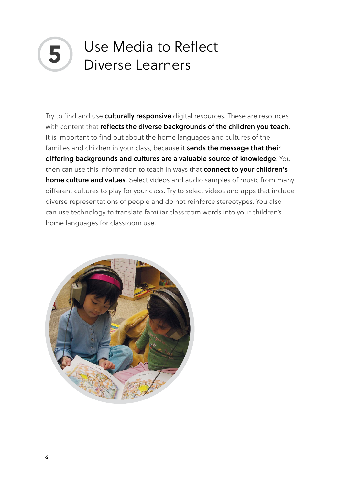#### Use Media to Reflect **5** Diverse Learners

Try to find and use **culturally responsive** digital resources. These are resources with content that **reflects the diverse backgrounds of the children you teach**. It is important to find out about the home languages and cultures of the families and children in your class, because it **sends the message that their differing backgrounds and cultures are a valuable source of knowledge**. You then can use this information to teach in ways that **connect to your children's home culture and values**. Select videos and audio samples of music from many different cultures to play for your class. Try to select videos and apps that include diverse representations of people and do not reinforce stereotypes. You also can use technology to translate familiar classroom words into your children's home languages for classroom use.

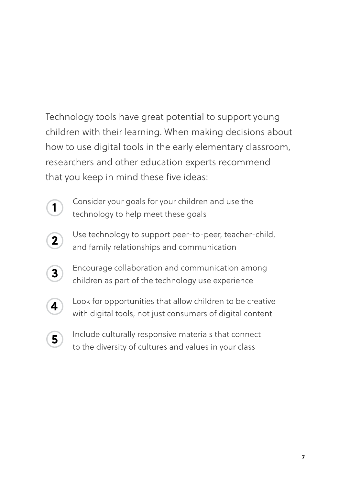Technology tools have great potential to support young children with their learning. When making decisions about how to use digital tools in the early elementary classroom, researchers and other education experts recommend that you keep in mind these five ideas:



Consider your goals for your children and use the technology to help meet these goals



Use technology to support peer-to-peer, teacher-child, and family relationships and communication



Encourage collaboration and communication among children as part of the technology use experience



Look for opportunities that allow children to be creative with digital tools, not just consumers of digital content



Include culturally responsive materials that connect to the diversity of cultures and values in your class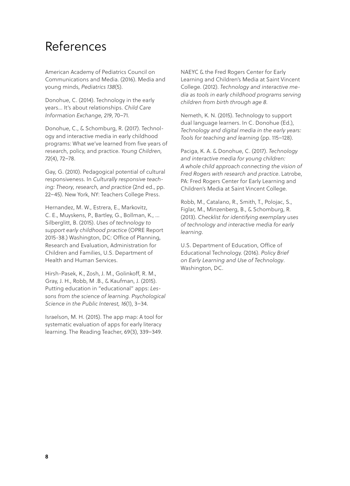#### References

American Academy of Pediatrics Council on Communications and Media. (2016). Media and young minds, *Pediatrics 138*(5).

Donohue, C. (2014). Technology in the early years... It's about relationships. *Child Care Information Exchange, 219*, 70–71.

Donohue, C., & Schomburg, R. (2017). Technology and interactive media in early childhood programs: What we've learned from five years of research, policy, and practice. *Young Children, 72*(4), 72–78.

Gay, G. (2010). Pedagogical potential of cultural responsiveness. In *Culturally responsive teaching: Theory, research, and practice* (2nd ed., pp. 22–45). New York, NY: Teachers College Press.

Hernandez, M. W., Estrera, E., Markovitz, C. E., Muyskens, P., Bartley, G., Bollman, K., … Silberglitt, B. (2015). *Uses of technology to support early childhood practice* (OPRE Report 2015-38.) Washington, DC: Office of Planning, Research and Evaluation, Administration for Children and Families, U.S. Department of Health and Human Services.

Hirsh-Pasek, K., Zosh, J. M., Golinkoff, R. M., Gray, J. H., Robb, M .B., & Kaufman, J. (2015). Putting education in "educational" apps: *Lessons from the science of learning. Psychological Science in the Public Interest, 16*(1), 3–34.

Israelson, M. H. (2015). The app map: A tool for systematic evaluation of apps for early literacy learning. The Reading Teacher, 69(3), 339–349. NAEYC & the Fred Rogers Center for Early Learning and Children's Media at Saint Vincent College. (2012). *Technology and interactive media as tools in early childhood programs serving children from birth through age 8*.

Nemeth, K. N. (2015). Technology to support dual language learners. In C. Donohue (Ed.), *Technology and digital media in the early years: Tools for teaching and learning* (pp. 115–128).

Paciga, K. A. & Donohue, C. (2017). *Technology and interactive media for young children: A whole child approach connecting the vision of Fred Rogers with research and practice*. Latrobe, PA: Fred Rogers Center for Early Learning and Children's Media at Saint Vincent College.

Robb, M., Catalano, R., Smith, T., Polojac, S., Figlar, M., Minzenberg, B., & Schomburg, R. (2013). *Checklist for identifying exemplary uses of technology and interactive media for early learning*.

U.S. Department of Education, Office of Educational Technology. (2016). *Policy Brief on Early Learning and Use of Technology*. Washington, DC.